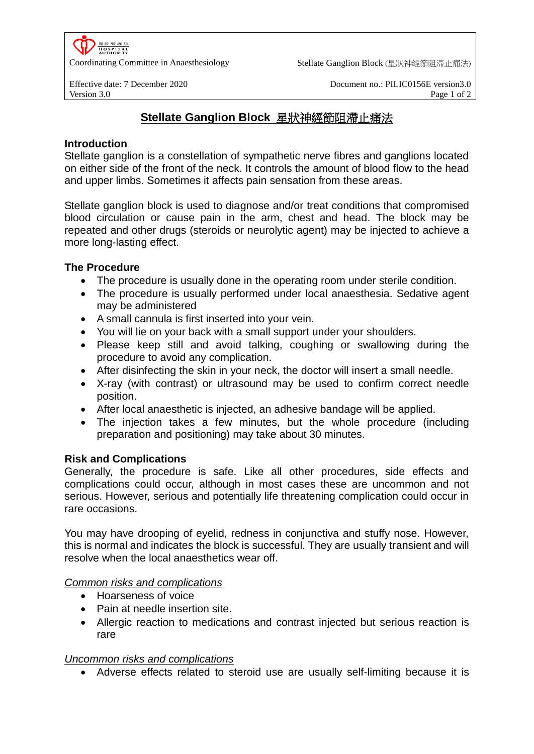

Coordinating Committee in Anaesthesiology Stellate Ganglion Block (星狀神經節阻滯止痛法)

Effective date: 7 December 2020 Document no.: PILIC0156E version3.0 Version 3.0 **Page 1 of 2** Page 1 of 2

# **Stellate Ganglion Block** 星狀神經節阻滯止痛法

## **Introduction**

Stellate ganglion is a constellation of sympathetic nerve fibres and ganglions located on either side of the front of the neck. It controls the amount of blood flow to the head and upper limbs. Sometimes it affects pain sensation from these areas.

Stellate ganglion block is used to diagnose and/or treat conditions that compromised blood circulation or cause pain in the arm, chest and head. The block may be repeated and other drugs (steroids or neurolytic agent) may be injected to achieve a more long-lasting effect.

## **The Procedure**

- The procedure is usually done in the operating room under sterile condition.
- The procedure is usually performed under local anaesthesia. Sedative agent may be administered
- A small cannula is first inserted into your vein.
- You will lie on your back with a small support under your shoulders.
- Please keep still and avoid talking, coughing or swallowing during the procedure to avoid any complication.
- After disinfecting the skin in your neck, the doctor will insert a small needle.
- X-ray (with contrast) or ultrasound may be used to confirm correct needle position.
- After local anaesthetic is injected, an adhesive bandage will be applied.
- The injection takes a few minutes, but the whole procedure (including preparation and positioning) may take about 30 minutes.

## **Risk and Complications**

Generally, the procedure is safe. Like all other procedures, side effects and complications could occur, although in most cases these are uncommon and not serious. However, serious and potentially life threatening complication could occur in rare occasions.

You may have drooping of eyelid, redness in conjunctiva and stuffy nose. However, this is normal and indicates the block is successful. They are usually transient and will resolve when the local anaesthetics wear off.

## *Common risks and complications*

- Hoarseness of voice
- Pain at needle insertion site.
- Allergic reaction to medications and contrast injected but serious reaction is rare

## *Uncommon risks and complications*

Adverse effects related to steroid use are usually self-limiting because it is